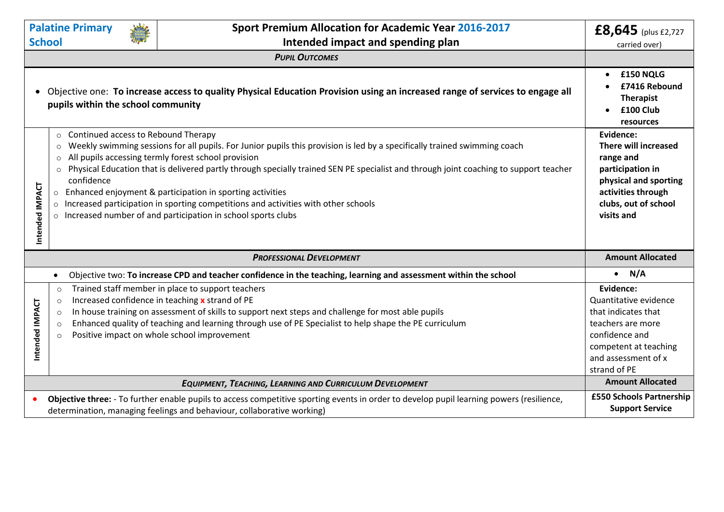| <b>Palatine Primary</b>                                                                                                                                                                                            |                                                                                                                                                                                                                                                                                                                                                                                                                                                                                                                                                                                                                                                                                 |                                                                                                                                                         | <b>Sport Premium Allocation for Academic Year 2016-2017</b>                                                                                                                                                                                                                                                                                                         | £8,645 (plus £2,727                                                                                                                                              |
|--------------------------------------------------------------------------------------------------------------------------------------------------------------------------------------------------------------------|---------------------------------------------------------------------------------------------------------------------------------------------------------------------------------------------------------------------------------------------------------------------------------------------------------------------------------------------------------------------------------------------------------------------------------------------------------------------------------------------------------------------------------------------------------------------------------------------------------------------------------------------------------------------------------|---------------------------------------------------------------------------------------------------------------------------------------------------------|---------------------------------------------------------------------------------------------------------------------------------------------------------------------------------------------------------------------------------------------------------------------------------------------------------------------------------------------------------------------|------------------------------------------------------------------------------------------------------------------------------------------------------------------|
|                                                                                                                                                                                                                    | <b>School</b>                                                                                                                                                                                                                                                                                                                                                                                                                                                                                                                                                                                                                                                                   |                                                                                                                                                         | Intended impact and spending plan                                                                                                                                                                                                                                                                                                                                   | carried over)                                                                                                                                                    |
|                                                                                                                                                                                                                    |                                                                                                                                                                                                                                                                                                                                                                                                                                                                                                                                                                                                                                                                                 |                                                                                                                                                         | <b>PUPIL OUTCOMES</b>                                                                                                                                                                                                                                                                                                                                               |                                                                                                                                                                  |
| Objective one: To increase access to quality Physical Education Provision using an increased range of services to engage all<br>$\bullet$<br>pupils within the school community                                    |                                                                                                                                                                                                                                                                                                                                                                                                                                                                                                                                                                                                                                                                                 |                                                                                                                                                         |                                                                                                                                                                                                                                                                                                                                                                     | £150 NQLG<br>£7416 Rebound<br><b>Therapist</b><br>£100 Club<br>resources                                                                                         |
| Intended IMPACT                                                                                                                                                                                                    | Continued access to Rebound Therapy<br>$\circ$<br>Weekly swimming sessions for all pupils. For Junior pupils this provision is led by a specifically trained swimming coach<br>$\circ$<br>All pupils accessing termly forest school provision<br>$\circ$<br>Physical Education that is delivered partly through specially trained SEN PE specialist and through joint coaching to support teacher<br>$\circ$<br>confidence<br>Enhanced enjoyment & participation in sporting activities<br>$\circ$<br>Increased participation in sporting competitions and activities with other schools<br>$\Omega$<br>Increased number of and participation in school sports clubs<br>$\circ$ | Evidence:<br>There will increased<br>range and<br>participation in<br>physical and sporting<br>activities through<br>clubs, out of school<br>visits and |                                                                                                                                                                                                                                                                                                                                                                     |                                                                                                                                                                  |
| <b>PROFESSIONAL DEVELOPMENT</b>                                                                                                                                                                                    |                                                                                                                                                                                                                                                                                                                                                                                                                                                                                                                                                                                                                                                                                 |                                                                                                                                                         | <b>Amount Allocated</b>                                                                                                                                                                                                                                                                                                                                             |                                                                                                                                                                  |
|                                                                                                                                                                                                                    | $\bullet$                                                                                                                                                                                                                                                                                                                                                                                                                                                                                                                                                                                                                                                                       |                                                                                                                                                         | Objective two: To increase CPD and teacher confidence in the teaching, learning and assessment within the school                                                                                                                                                                                                                                                    | $\bullet$ N/A                                                                                                                                                    |
| Intended IMPACT                                                                                                                                                                                                    | $\circ$<br>$\circ$<br>$\circ$<br>$\circ$                                                                                                                                                                                                                                                                                                                                                                                                                                                                                                                                                                                                                                        |                                                                                                                                                         | Trained staff member in place to support teachers<br>Increased confidence in teaching x strand of PE<br>In house training on assessment of skills to support next steps and challenge for most able pupils<br>Enhanced quality of teaching and learning through use of PE Specialist to help shape the PE curriculum<br>Positive impact on whole school improvement | Evidence:<br>Quantitative evidence<br>that indicates that<br>teachers are more<br>confidence and<br>competent at teaching<br>and assessment of x<br>strand of PE |
| EQUIPMENT, TEACHING, LEARNING AND CURRICULUM DEVELOPMENT                                                                                                                                                           |                                                                                                                                                                                                                                                                                                                                                                                                                                                                                                                                                                                                                                                                                 |                                                                                                                                                         |                                                                                                                                                                                                                                                                                                                                                                     |                                                                                                                                                                  |
| Objective three: - To further enable pupils to access competitive sporting events in order to develop pupil learning powers (resilience,<br>determination, managing feelings and behaviour, collaborative working) |                                                                                                                                                                                                                                                                                                                                                                                                                                                                                                                                                                                                                                                                                 |                                                                                                                                                         |                                                                                                                                                                                                                                                                                                                                                                     | £550 Schools Partnership<br><b>Support Service</b>                                                                                                               |